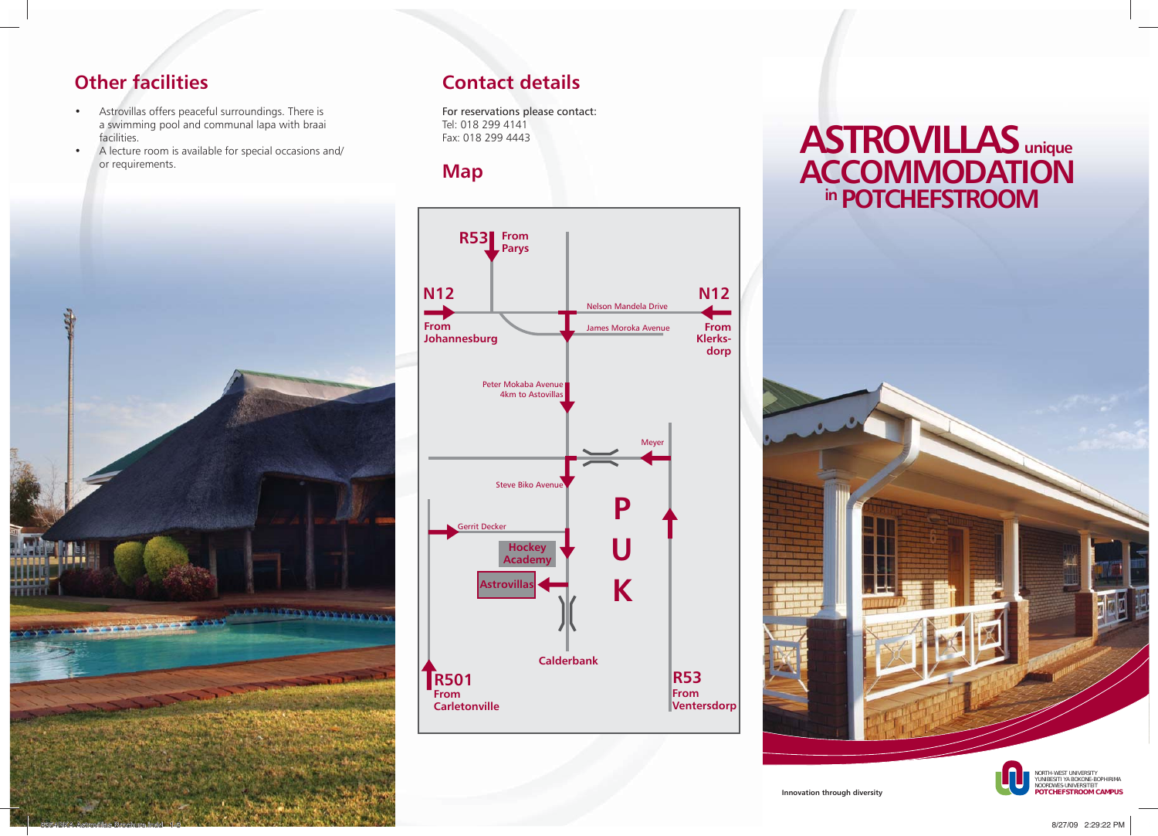## **Other facilities**

- Astrovillas offers peaceful surroundings. There is a swimming pool and communal lapa with braai facilities.
- A lecture room is available for special occasions and/ or requirements.



## **Contact details**

For reservations please contact: Tel: 018 299 4141 Fax: 018 299 4443

**Map**



# **ASTROVILLAS unique ACCOMMODATION in POTCHEFSTROOM**



**Innovation through diversity**